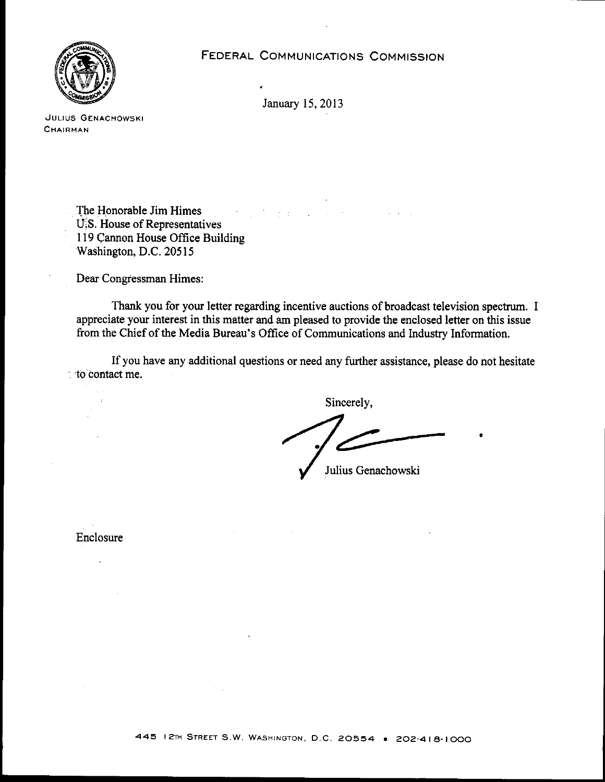FEDERAL COMMUNICATIONS COMMISSION



January 15,2013

**..JULIUS GENACHOWSKI CHAIRMAN**

> The Honorable Jim Himes  $\sim 10^{-1}$ 计字符  $\mathcal{L}_{\mathrm{max}}$ U.S. House of Representatives 119 Cannon House Office Building Washington, D.C. 20515

Dear Congressman Himes:

Thank you for your letter regarding incentive auctions of broadcast television spectrum. I appreciate your interest in this matter and am pleased to provide the enclosed letter on this issue from the Chief of the Media Bureau's Office of Communications and Industry Information.

If you have any additional questions or need any further assistance, please do not hesitate '. 'to contact me.

Sincerely,

•

Julius Genachowski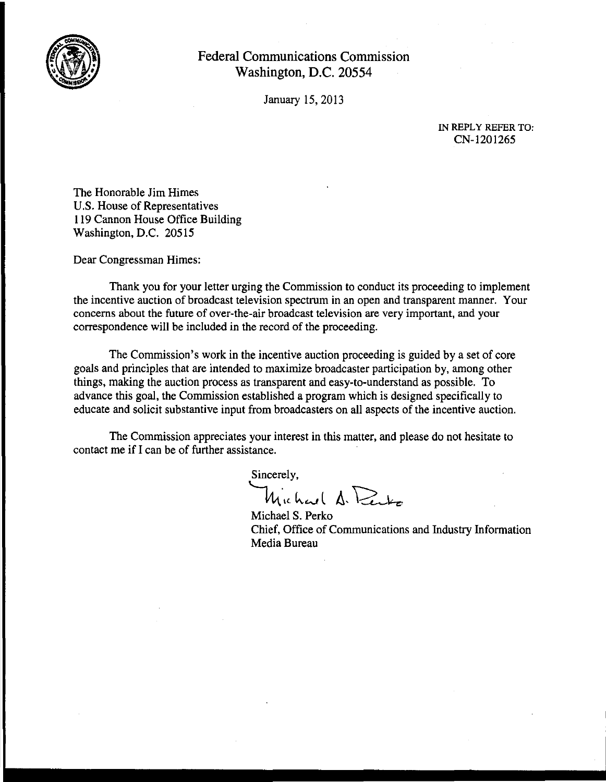

January 15,2013

IN REPLY REFER TO: CN-1201265

The Honorable Jim Himes U.S. House of Representatives 119 Cannon House Office Building Washington, D.C. 20515

Dear Congressman Himes:

Thank you for your letter urging the Commission to conduct its proceeding to implement the incentive auction of broadcast television spectrum in an open and transparent manner. Your concerns about the future of over-the-air broadcast television are very important, and your correspondence will be included in the record of the proceeding.

The Commission's work in the incentive auction proceeding is guided by a set of core goals and principles that are intended to maximize broadcaster participation by, among other things, making the auction process as transparent and easy-to-understand as possible. To advance this goal, the Commission established a program which is designed specifically to educate and solicit substantive input from broadcasters on all aspects of the incentive auction.

The Commission appreciates your interest in this matter, and please do not hesitate to contact me if I can be of further assistance.

Sincerely, Wichard A. Perko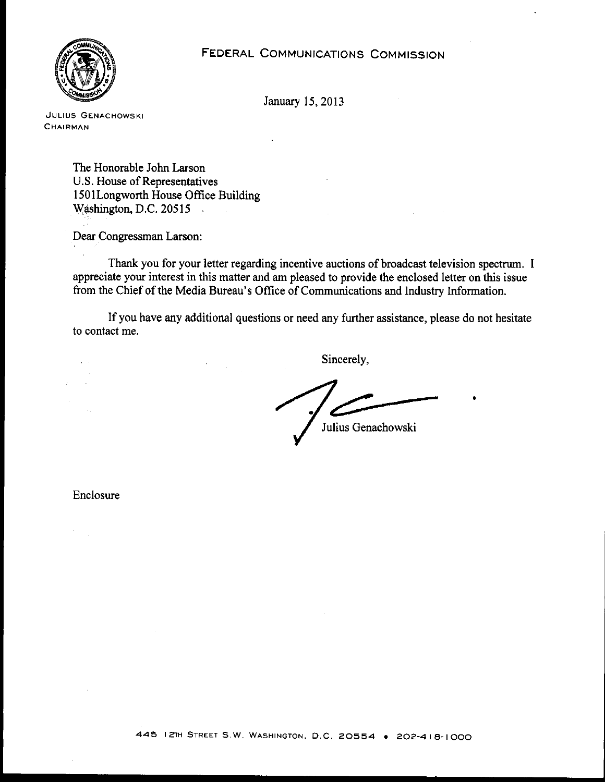

**JULIUS GENACHOWSKI CHAIRMAN**

> The Honorable John Larson U.S. House of Representatives I50ILongworth House Office Building Washington, D.C. 20515  $\mathcal{L}^{\text{max}}_{\text{max}}$  and  $\mathcal{L}^{\text{max}}_{\text{max}}$

Dear Congressman Larson:

Thank you for your letter regarding incentive auctions of broadcast television spectrum. I appreciate your interest in this matter and am pleased to provide the enclosed letter on this issue from the Chief of the Media Bureau's Office of Communications and Industry Information.

If you have any additional questions or need any further assistance, please do not hesitate to contact me.

Sincerely, ~----- . Julius Genachowski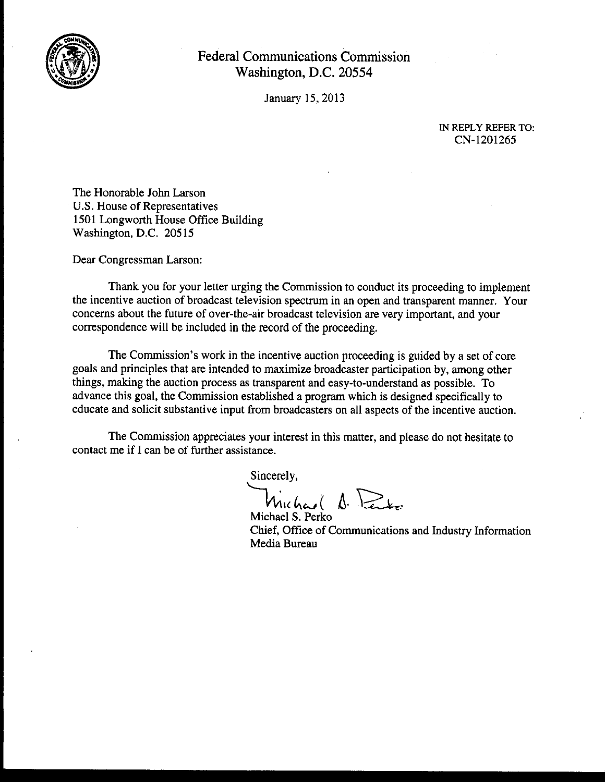

January 15,2013

IN REPLY REFER TO: CN-1201265

The Honorable John Larson U.S. House of Representatives 1501 Longworth House Office Building Washington, D.C. 20515

Dear Congressman Larson:

Thank you for your letter urging the Commission to conduct its proceeding to implement the incentive auction of broadcast television spectrum in an open and transparent manner. Your concerns about the future of over-the-air broadcast television are very important, and your correspondence will be included in the record of the proceeding.

The Commission's work in the incentive auction proceeding is guided by a set of core goals and principles that are intended to maximize broadcaster participation by, among other things, making the auction process as transparent and easy-to-understand as possible. To advance this goal, the Commission established a program which is designed specifically to educate and solicit substantive input from broadcasters on all aspects of the incentive auction.

The Commission appreciates your interest in this matter, and please do not hesitate to contact me if I can be of further assistance.

Sincerely,

Michael A. Perto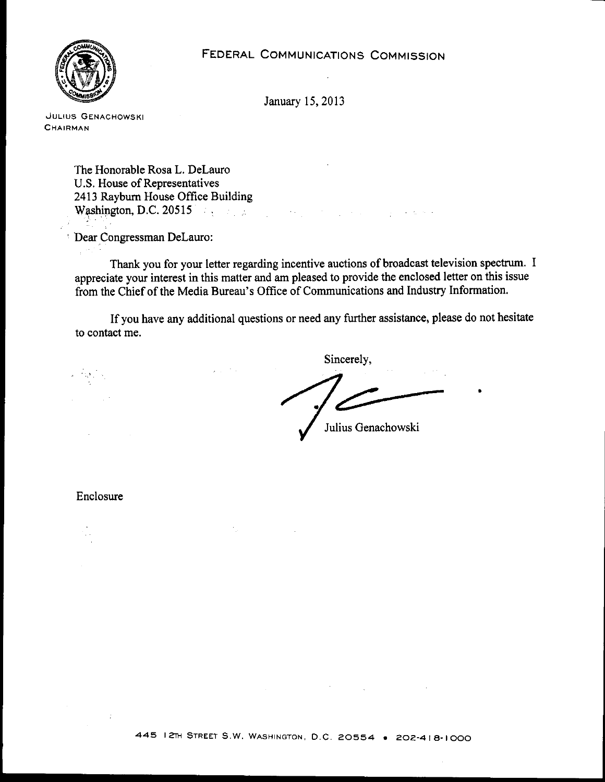

**,JULIUS GENACHOWSKI CHAIRMAN**

> The Honorable Rosa L. DeLauro U.S. House of Representatives 2413 Rayburn House Office Building Washington, D.C. 20515

Dear Congressman DeLauro:

Thank you for your letter regarding incentive auctions of broadcast television spectrum. I appreciate your interest in this matter and am pleased to provide the enclosed letter on this issue from the Chief of the Media Bureau's Office of Communications and Industry Information.

If you have any additional questions or need any further assistance, please do not hesitate to contact me.

Sincerely, Julius Genachowski

•

Enclosure

 $\cdot$ :

经营销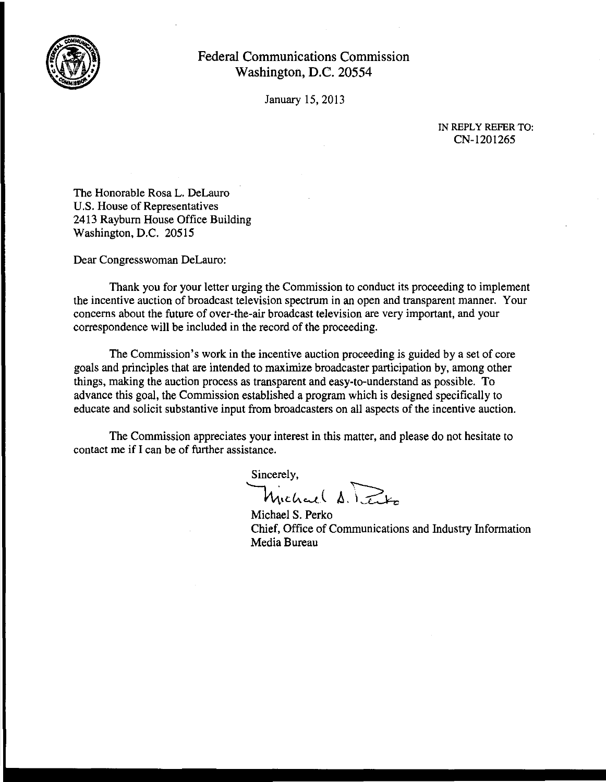

January 15,2013

IN REPLY REFER TO: CN-1201265

The Honorable Rosa L. DeLauro U.S. House of Representatives 2413 Rayburn House Office Building Washington, D.C. 20515

Dear Congresswoman DeLauro:

Thank you for your letter urging the Commission to conduct its proceeding to implement the incentive auction of broadcast television spectrum in an open and transparent manner. Your concerns about the future of over-the-air broadcast television are very important, and your correspondence will be included in the record of the proceeding.

The Commission's work in the incentive auction proceeding is guided by a set of core goals and principles that are intended to maximize broadcaster participation by, among other things, making the auction process as transparent and easy-to-understand as possible. To advance this goal, the Commission established a program which is designed specifically to educate and solicit substantive input from broadcasters on all aspects of the incentive auction.

The Commission appreciates your interest in this matter, and please do not hesitate to contact me if I can be of further assistance.

Sincerely, mency,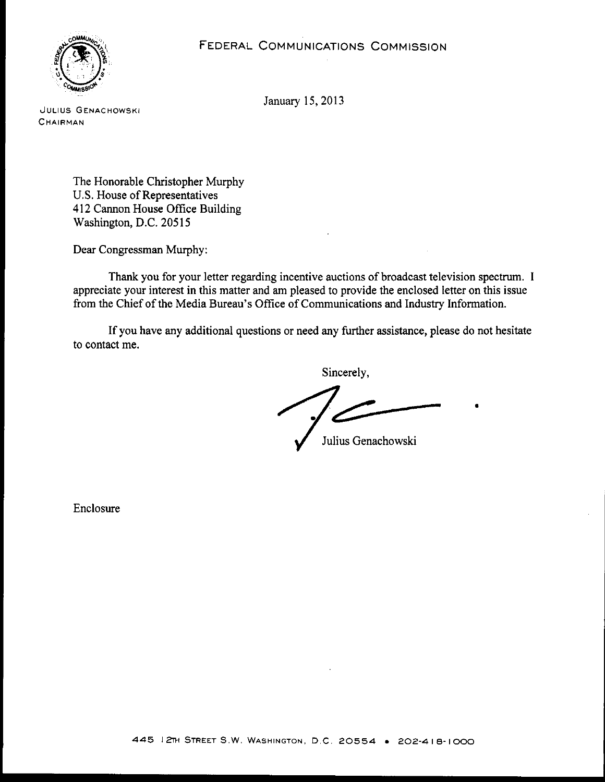

**JULIUS GENACHOWSKI** CHAIRMAN

> The Honorable Christopher Murphy U.S. House of Representatives 412 Cannon House Office Building Washington, D.C. 20515

Dear Congressman Murphy:

Thank you for your letter regarding incentive auctions of broadcast television spectrum. I appreciate your interest **in** this matter and am pleased to provide the enclosed letter on this issue from the Chief of the Media Bureau's Office of Communications and Industry Information.

**If** you have any additional questions or need any further assistance, please do not hesitate to contact me.

Sincerely,

Julius Genachowski

•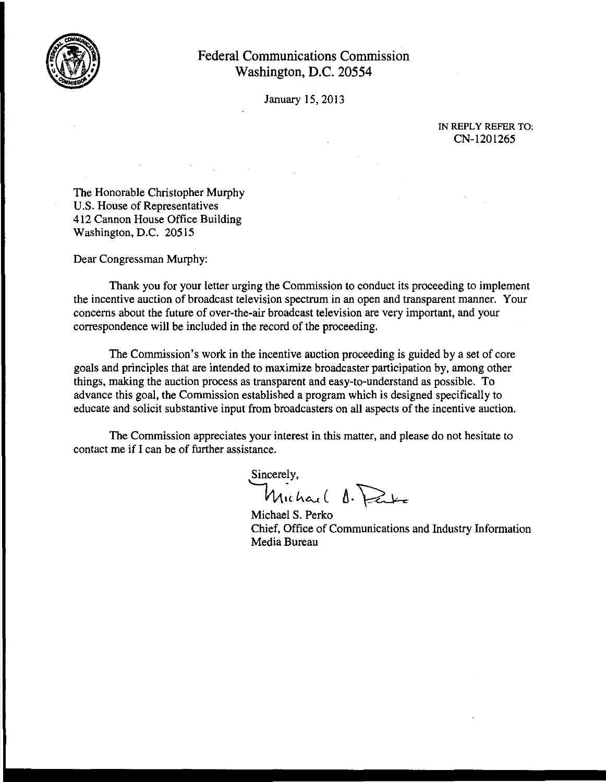

January 15,2013

IN REPLY REFER TO, CN-1201265

The Honorable Christopher Murphy U.S. House of Representatives 412 Cannon House Office Building Washington, D.C. 20515

Dear Congressman Murphy:

Thank you for your letter urging the Commission to conduct its proceeding to implement the incentive auction of broadcast television spectrum in an open and transparent manner. Your concerns about the future of over-the-air broadcast television are very important, and your correspondence will be included in the record of the proceeding.

The Commission's work in the incentive auction proceeding is guided by a set of core goals and principles that are intended to maximize broadcaster participation by, among other things, making the auction process as transparent and easy-to-understand as possible. To advance this goal, the Commission established a program which is designed specifically to educate and solicit substantive input from broadcasters on all aspects of the incentive auction.

The Commission appreciates your interest in this matter, and please do not hesitate to contact me if I can be of further assistance.

Sincerely, Michael O. Date

Michael S. Perko Chief, Office of Communications and Industry Information Media Bureau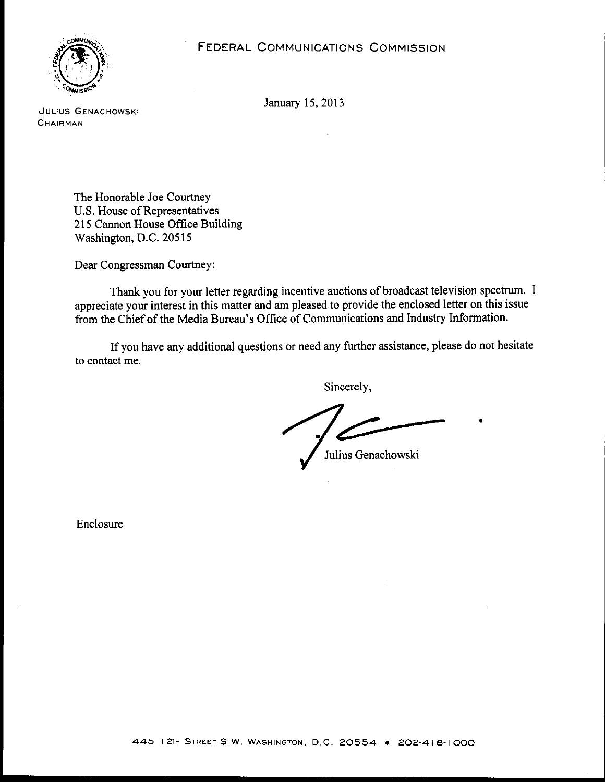

**JULIUS GENACHOWSKI CHAIRMAN**

> The Honorable Joe Courtney U.S. House of Representatives 215 Cannon House Office Building Washington, D.C. 20515

Dear Congressman Courtney:

Thank you for your letter regarding incentive auctions of broadcast television spectrum. I appreciate your interest in this matter and am pleased to provide the enclosed letter on this issue from the Chief of the Media Bureau's Office of Communications and Industry Information.

If you have any additional questions or need any further assistance, please do not hesitate to contact me.

Sincerely,

Julius Genachowski

•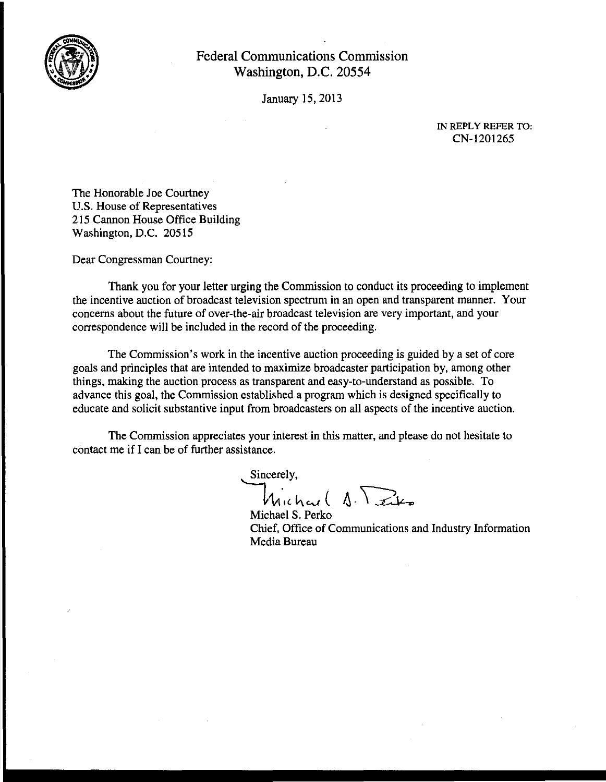

January 15,2013

IN REPLY REFER TO: CN-1201265

The Honorable Joe Courtney U.S. House of Representatives 215 Cannon House Office Building Washington, D.C. 20515

Dear Congressman Courtney:

Thank you for your letter urging the Commission to conduct its proceeding to implement the incentive auction of broadcast television spectrum in an open and transparent manner. Your concerns about the future of over-the-air broadcast television are very important, and your correspondence will be included in the record of the proceeding.

The Commission's work in the incentive auction proceeding is guided by a set of core goals and principles that are intended to maximize broadcaster participation by, among other things, making the auction process as transparent and easy-to-understand as possible. To advance this goal, the Commission established a program which is designed specifically to educate and solicit substantive input from broadcasters on all aspects of the incentive auction.

The Commission appreciates your interest in this matter, and please do not hesitate to contact me if I can be of further assistance.

Sincerely,  $\mathcal{H}_{\text{in}(\mathcal{A})}$  (  $\Lambda$ ,  $\sum_{k}$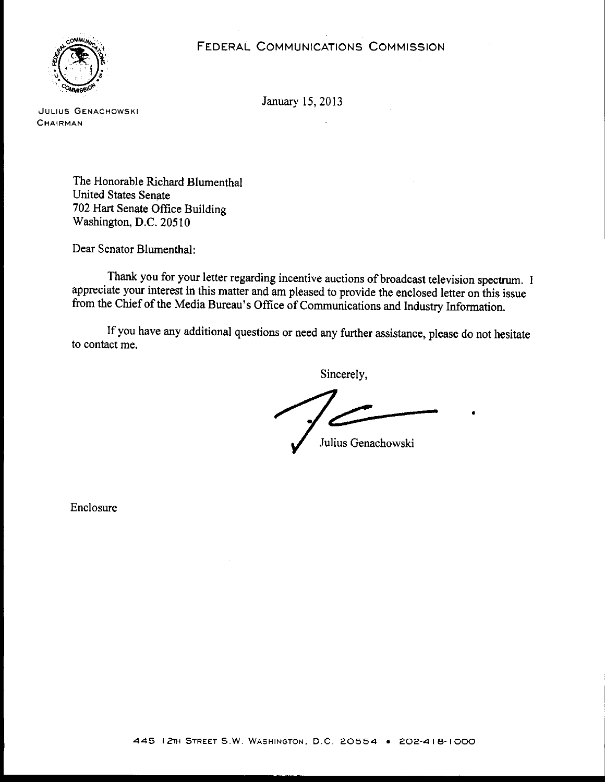## FEDERAL COMMUNICATIONS COMMISSION



January 15,2013

**JULIUS GENACHOWSKI CHAIRMAN**

> The Honorable Richard Blumenthal United States Senate 702 Hart Senate Office Building Washington, D.C. 20510

Dear Senator Blumenthal:

Thank you for your letter regarding incentive auctions of broadcast television spectrum. I appreciate your interest in this matter and am pleased to provide the enclosed letter on this issue from the Chief of the Media Bureau's Office of Communications and Industry Information.

If you have any additional questions or need any further assistance, please do not hesitate to contact me.

Sincerely,

Julius Genachowski

•